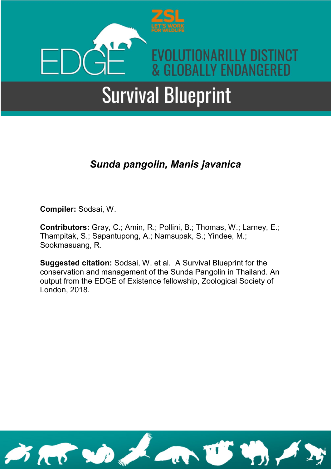

### *Sunda pangolin, Manis javanica*

**Compiler:** Sodsai, W.

**Contributors:** Gray, C.; Amin, R.; Pollini, B.; Thomas, W.; Larney, E.; Thampitak, S.; Sapantupong, A.; Namsupak, S.; Yindee, M.; Sookmasuang, R.

**Suggested citation:** Sodsai, W. et al. A Survival Blueprint for the conservation and management of the Sunda Pangolin in Thailand. An output from the EDGE of Existence fellowship, Zoological Society of London, 2018.

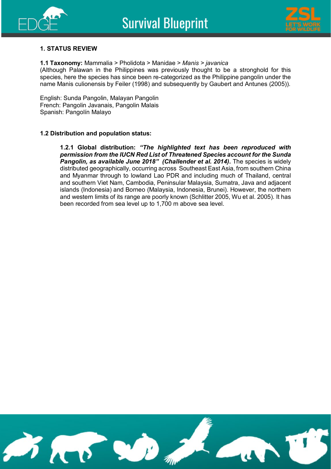



#### **1. STATUS REVIEW**

#### **1.1 Taxonomy:** Mammalia > Pholidota > Manidae > *Manis > javanica*

(Although Palawan in the Philippines was previously thought to be a stronghold for this species, here the species has since been re-categorized as the Philippine pangolin under the name Manis culionensis by Feiler (1998) and subsequently by Gaubert and Antunes (2005)).

English: Sunda Pangolin, Malayan Pangolin French: Pangolin Javanais, Pangolin Malais Spanish: Pangolín Malayo

#### **1.2 Distribution and population status:**

**1.2.1 Global distribution:** *"The highlighted text has been reproduced with permission from the IUCN Red List of Threatened Species account for the Sunda Pangolin, as available June 2018" (Challender et al. 2014)***.** The species is widely distributed geographically, occurring across Southeast East Asia, from southern China and Myanmar through to lowland Lao PDR and including much of Thailand, central and southern Viet Nam, Cambodia, Peninsular Malaysia, Sumatra, Java and adjacent islands (Indonesia) and Borneo (Malaysia, Indonesia, Brunei). However, the northern and western limits of its range are poorly known (Schlitter 2005, Wu et al. 2005). It has been recorded from sea level up to 1,700 m above sea level.

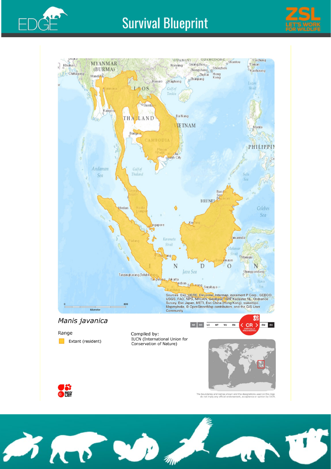





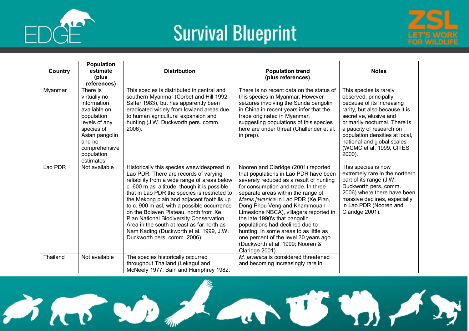

 $\cancel{\rightarrow}$ 

### **Survival Blueprint**



| Country  | <b>Population</b><br>estimate<br>(plus<br>references)                                                                                                                         | <b>Distribution</b>                                                                                                                                                                                                                                                                                                                                                                                                                                                                                                                           | <b>Population trend</b><br>(plus references)                                                                                                                                                                                                                                                                                                                                                                                                                                                                                        | <b>Notes</b>                                                                                                                                                                                                                                                                                                   |
|----------|-------------------------------------------------------------------------------------------------------------------------------------------------------------------------------|-----------------------------------------------------------------------------------------------------------------------------------------------------------------------------------------------------------------------------------------------------------------------------------------------------------------------------------------------------------------------------------------------------------------------------------------------------------------------------------------------------------------------------------------------|-------------------------------------------------------------------------------------------------------------------------------------------------------------------------------------------------------------------------------------------------------------------------------------------------------------------------------------------------------------------------------------------------------------------------------------------------------------------------------------------------------------------------------------|----------------------------------------------------------------------------------------------------------------------------------------------------------------------------------------------------------------------------------------------------------------------------------------------------------------|
| Myanmar  | There is<br>virtually no<br>information<br>available on<br>population<br>levels of any<br>species of<br>Asian pangolin<br>and no<br>comprehensive<br>population<br>estimates. | This species is distributed in central and<br>southern Myanmar (Corbet and Hill 1992,<br>Salter 1983), but has apparently been<br>eradicated widely from lowland areas due<br>to human agricultural expansion and<br>hunting (J.W. Duckworth pers. comm.<br>2006).                                                                                                                                                                                                                                                                            | There is no recent data on the status of<br>this species in Myanmar. However<br>seizures involving the Sunda pangolin<br>in China in recent years infer that the<br>trade originated in Myanmar,<br>suggesting populations of this species<br>here are under threat (Challender et al.<br>in prep).                                                                                                                                                                                                                                 | This species is rarely<br>observed, principally<br>because of its increasing<br>rarity, but also because it is<br>secretive, elusive and<br>primarily nocturnal. There is<br>a paucity of research on<br>population densities at local,<br>national and global scales<br>(WCMC et al. 1999, CITES<br>$2000$ ). |
| Lao PDR  | Not available                                                                                                                                                                 | Historically this species waswidespread in<br>Lao PDR. There are records of varying<br>reliability from a wide range of areas below<br>c. 600 m asl altitude, though it is possible<br>that in Lao PDR the species is restricted to<br>the Mekong plain and adjacent foothills up<br>to c. 900 m asl, with a possible occurrence<br>on the Bolaven Plateau, north from Xe<br>Pian National Biodiversity Conservation<br>Area in the south at least as far north as<br>Nam Kading (Duckworth et al. 1999, J.W.<br>Duckworth pers. comm. 2006). | Nooren and Claridge (2001) reported<br>that populations in Lao PDR have been<br>severely reduced as a result of hunting<br>for consumption and trade. In three<br>separate areas within the range of<br>Manis javanica in Lao PDR (Xe Pian,<br>Dong Phou Veng and Khammouan<br>Limestone NBCA), villagers reported in<br>the late 1990's that pangolin<br>populations had declined due to<br>hunting, in some areas to as little as<br>one percent of the level 30 years ago<br>(Duckworth et al. 1999; Nooren &<br>Claridge 2001). | This species is now<br>extremely rare in the northern<br>part of its range (J.W.<br>Duckworth pers. comm.<br>2006) where there have been<br>massive declines, especially<br>in Lao PDR (Nooren and<br>Claridge 2001).                                                                                          |
| Thailand | Not available                                                                                                                                                                 | The species historically occurred<br>throughout Thailand (Lekagul and<br>McNeely 1977, Bain and Humphrey 1982,                                                                                                                                                                                                                                                                                                                                                                                                                                | M. javanica is considered threatened<br>and becoming increasingly rare in                                                                                                                                                                                                                                                                                                                                                                                                                                                           |                                                                                                                                                                                                                                                                                                                |

 $7.60$  and  $7.70$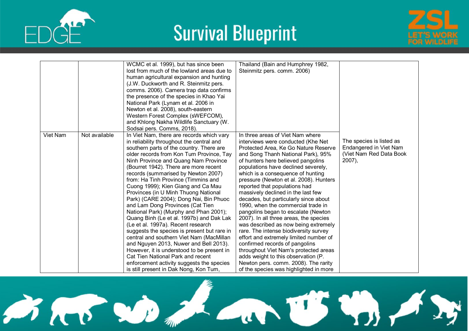





|          |               | WCMC et al. 1999), but has since been<br>lost from much of the lowland areas due to<br>human agricultural expansion and hunting<br>(J.W. Duckworth and R. Steinmitz pers.<br>comms. 2006). Camera trap data confirms<br>the presence of the species in Khao Yai<br>National Park (Lynam et al. 2006 in<br>Newton et al. 2008), south-eastern<br>Western Forest Complex (sWEFCOM),<br>and Khlong Nakha Wildlife Sanctuary (W.<br>Sodsai pers. Comms, 2018).                                                                                                                                                                                                                                                                                                                                                                                                                                                                                           | Thailand (Bain and Humphrey 1982,<br>Steinmitz pers. comm. 2006)                                                                                                                                                                                                                                                                                                                                                                                                                                                                                                                                                                                                                                                                                                                                                                                                                       |                                                                                         |
|----------|---------------|------------------------------------------------------------------------------------------------------------------------------------------------------------------------------------------------------------------------------------------------------------------------------------------------------------------------------------------------------------------------------------------------------------------------------------------------------------------------------------------------------------------------------------------------------------------------------------------------------------------------------------------------------------------------------------------------------------------------------------------------------------------------------------------------------------------------------------------------------------------------------------------------------------------------------------------------------|----------------------------------------------------------------------------------------------------------------------------------------------------------------------------------------------------------------------------------------------------------------------------------------------------------------------------------------------------------------------------------------------------------------------------------------------------------------------------------------------------------------------------------------------------------------------------------------------------------------------------------------------------------------------------------------------------------------------------------------------------------------------------------------------------------------------------------------------------------------------------------------|-----------------------------------------------------------------------------------------|
| Viet Nam | Not available | In Viet Nam, there are records which vary<br>in reliability throughout the central and<br>southern parts of the country. There are<br>older records from Kon Tum Province, Tay<br>Ninh Province and Quang Nam Province<br>(Bourret 1942). There are more recent<br>records (summarised by Newton 2007)<br>from: Ha Tinh Province (Timmins and<br>Cuong 1999); Kien Giang and Ca Mau<br>Provinces (in U Minh Thuong National<br>Park) (CARE 2004); Dong Nai, Bin Phuoc<br>and Lam Dong Provinces (Cat Tien<br>National Park) (Murphy and Phan 2001);<br>Quang Binh (Le et al. 1997b) and Dak Lak<br>(Le et al. 1997a). Recent research<br>suggests the species is present but rare in<br>central and southern Viet Nam (MacMillan<br>and Nguyen 2013, Nuwer and Bell 2013).<br>However, it is understood to be present in<br>Cat Tien National Park and recent<br>enforcement activity suggests the species<br>is still present in Dak Nong, Kon Tum, | In three areas of Viet Nam where<br>interviews were conducted (Khe Net<br>Protected Area, Ke Go Nature Reserve<br>and Song Thanh National Park), 95%<br>of hunters here believed pangolins<br>populations have declined severely,<br>which is a consequence of hunting<br>pressure (Newton et al. 2008). Hunters<br>reported that populations had<br>massively declined in the last few<br>decades, but particularly since about<br>1990, when the commercial trade in<br>pangolins began to escalate (Newton<br>2007). In all three areas, the species<br>was described as now being extremely<br>rare. The intense biodiversity survey<br>effort and extremely limited number of<br>confirmed records of pangolins<br>throughout Viet Nam's protected areas<br>adds weight to this observation (P.<br>Newton pers. comm. 2008). The rarity<br>of the species was highlighted in more | The species is listed as<br>Endangered in Viet Nam<br>(Viet Nam Red Data Book<br>2007), |

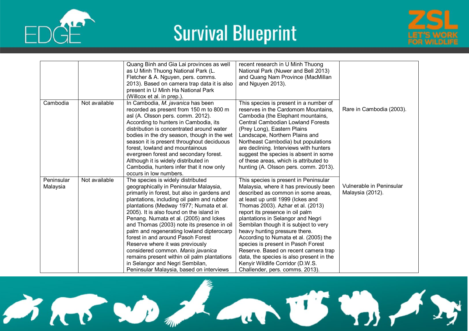





|                        |               | Quang Binh and Gia Lai provinces as well<br>as U Minh Thuong National Park (L.<br>Fletcher & A. Nguyen, pers. comms.<br>2013). Based on camera trap data it is also<br>present in U Minh Ha National Park<br>(Willcox et al. in prep.).                                                                                                                                                                                                                                                                                                                                                                                                          | recent research in U Minh Thuong<br>National Park (Nuwer and Bell 2013)<br>and Quang Nam Province (MacMillan<br>and Nguyen 2013).                                                                                                                                                                                                                                                                                                                                                                                                                                                           |                                              |
|------------------------|---------------|--------------------------------------------------------------------------------------------------------------------------------------------------------------------------------------------------------------------------------------------------------------------------------------------------------------------------------------------------------------------------------------------------------------------------------------------------------------------------------------------------------------------------------------------------------------------------------------------------------------------------------------------------|---------------------------------------------------------------------------------------------------------------------------------------------------------------------------------------------------------------------------------------------------------------------------------------------------------------------------------------------------------------------------------------------------------------------------------------------------------------------------------------------------------------------------------------------------------------------------------------------|----------------------------------------------|
| Cambodia               | Not available | In Cambodia, M. javanica has been<br>recorded as present from 150 m to 800 m<br>asl (A. Olsson pers. comm. 2012).<br>According to hunters in Cambodia, its<br>distribution is concentrated around water<br>bodies in the dry season, though in the wet<br>season it is present throughout deciduous<br>forest, lowland and mountainous<br>evergreen forest and secondary forest.<br>Although it is widely distributed in<br>Cambodia, hunters infer that it now only<br>occurs in low numbers.                                                                                                                                                   | This species is present in a number of<br>reserves in the Cardomom Mountains,<br>Cambodia (the Elephant mountains,<br><b>Central Cambodian Lowland Forests</b><br>(Prey Long), Eastern Plains<br>Landscape, Northern Plains and<br>Northeast Cambodia) but populations<br>are declining. Interviews with hunters<br>suggest the species is absent in some<br>of these areas, which is attributed to<br>hunting (A. Olsson pers. comm. 2013).                                                                                                                                                | Rare in Cambodia (2003).                     |
| Peninsular<br>Malaysia | Not available | The species is widely distributed<br>geographically in Peninsular Malaysia,<br>primarily in forest, but also in gardens and<br>plantations, including oil palm and rubber<br>plantations (Medway 1977; Numata et al.<br>2005). It is also found on the island in<br>Penang. Numata et al. (2005) and Ickes<br>and Thomas (2003) note its presence in oil<br>palm and regenerating lowland dipterocarp<br>forest in and around Pasoh Forest<br>Reserve where it was previously<br>considered common. Manis javanica<br>remains present within oil palm plantations<br>in Selangor and Negri Sembilan,<br>Peninsular Malaysia, based on interviews | This species is present in Peninsular<br>Malaysia, where it has previously been<br>described as common in some areas.<br>at least up until 1999 (Ickes and<br>Thomas 2003). Azhar et al. (2013)<br>report its presence in oil palm<br>plantations in Selangor and Negri<br>Sembilan though it is subject to very<br>heavy hunting pressure there.<br>According to Numata et al. (2005) the<br>species is present in Pasoh Forest<br>Reserve. Based on recent camera trap<br>data, the species is also present in the<br>Kenyir Wildlife Corridor (D.W.S.<br>Challender, pers. comms. 2013). | Vulnerable in Peninsular<br>Malaysia (2012). |

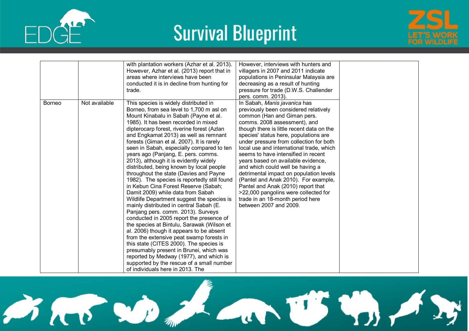





|               |               | with plantation workers (Azhar et al. 2013).<br>However, Azhar et al. (2013) report that in<br>areas where interviews have been<br>conducted it is in decline from hunting for<br>trade.                                                                                                                                                                                                                                                                                                                                                                                                                                                                                                                                                                                                                                                                                                                                                                                                                                                                                                                                                                                                   | However, interviews with hunters and<br>villagers in 2007 and 2011 indicate<br>populations in Peninsular Malaysia are<br>decreasing as a result of hunting<br>pressure for trade (D.W.S. Challender<br>pers. comm. 2013).                                                                                                                                                                                                                                                                                                                                                                                                                                         |  |
|---------------|---------------|--------------------------------------------------------------------------------------------------------------------------------------------------------------------------------------------------------------------------------------------------------------------------------------------------------------------------------------------------------------------------------------------------------------------------------------------------------------------------------------------------------------------------------------------------------------------------------------------------------------------------------------------------------------------------------------------------------------------------------------------------------------------------------------------------------------------------------------------------------------------------------------------------------------------------------------------------------------------------------------------------------------------------------------------------------------------------------------------------------------------------------------------------------------------------------------------|-------------------------------------------------------------------------------------------------------------------------------------------------------------------------------------------------------------------------------------------------------------------------------------------------------------------------------------------------------------------------------------------------------------------------------------------------------------------------------------------------------------------------------------------------------------------------------------------------------------------------------------------------------------------|--|
| <b>Borneo</b> | Not available | This species is widely distributed in<br>Borneo, from sea level to 1,700 m asl on<br>Mount Kinabalu in Sabah (Payne et al.<br>1985). It has been recorded in mixed<br>dipterocarp forest, riverine forest (Azlan<br>and Engkamat 2013) as well as remnant<br>forests (Giman et al. 2007). It is rarely<br>seen in Sabah, especially compared to ten<br>years ago (Panjang, E. pers. comms.<br>2013), although it is evidently widely<br>distributed, being known by local people<br>throughout the state (Davies and Payne<br>1982). The species is reportedly still found<br>in Kebun Cina Forest Reserve (Sabah;<br>Damit 2009) while data from Sabah<br>Wildlife Department suggest the species is<br>mainly distributed in central Sabah (E.<br>Panjang pers. comm. 2013). Surveys<br>conducted in 2005 report the presence of<br>the species at Bintulu, Sarawak (Wilson et<br>al. 2006) though it appears to be absent<br>from the extensive peat swamp forests in<br>this state (CITES 2000). The species is<br>presumably present in Brunei, which was<br>reported by Medway (1977), and which is<br>supported by the rescue of a small number<br>of individuals here in 2013. The | In Sabah, Manis javanica has<br>previously been considered relatively<br>common (Han and Giman pers.<br>comms. 2008 assessment), and<br>though there is little recent data on the<br>species' status here, populations are<br>under pressure from collection for both<br>local use and international trade, which<br>seems to have intensified in recent<br>years based on available evidence,<br>and which could well be having a<br>detrimental impact on population levels<br>(Pantel and Anak 2010). For example,<br>Pantel and Anak (2010) report that<br>>22,000 pangolins were collected for<br>trade in an 18-month period here<br>between 2007 and 2009. |  |

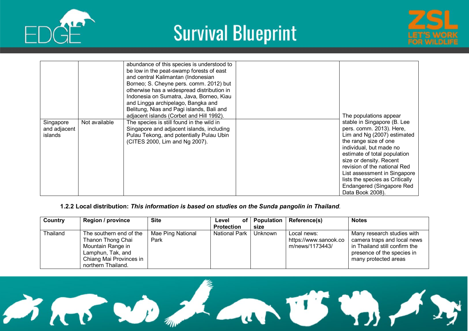





|                                      |               | abundance of this species is understood to<br>be low in the peat-swamp forests of east<br>and central Kalimantan (Indonesian<br>Borneo; S. Cheyne pers. comm. 2012) but<br>otherwise has a widespread distribution in<br>Indonesia on Sumatra, Java, Borneo, Kiau<br>and Lingga archipelago, Bangka and<br>Belitung, Nias and Pagi islands, Bali and<br>adjacent islands (Corbet and Hill 1992). | The populations appear                                                                                                                                                                                                                                                                                                                                    |
|--------------------------------------|---------------|--------------------------------------------------------------------------------------------------------------------------------------------------------------------------------------------------------------------------------------------------------------------------------------------------------------------------------------------------------------------------------------------------|-----------------------------------------------------------------------------------------------------------------------------------------------------------------------------------------------------------------------------------------------------------------------------------------------------------------------------------------------------------|
| Singapore<br>and adjacent<br>islands | Not available | The species is still found in the wild in<br>Singapore and adjacent islands, including<br>Pulau Tekong, and potentially Pulau Ubin<br>(CITES 2000, Lim and Ng 2007).                                                                                                                                                                                                                             | stable in Singapore (B. Lee<br>pers. comm. 2013). Here,<br>Lim and Ng (2007) estimated<br>the range size of one<br>individual, but made no<br>estimate of total population<br>size or density. Recent<br>revision of the national Red<br>List assessment in Singapore<br>lists the species as Critically<br>Endangered (Singapore Red<br>Data Book 2008). |

#### **1.2.2 Local distribution:** *This information is based on studies on the Sunda pangolin in Thailand.*

| Country  | <b>Region / province</b>                                                                                                                | <b>Site</b>               | оf<br>Level          | <b>Population</b> | <b>Reference(s)</b>                                     | <b>Notes</b>                                                                                                                                     |
|----------|-----------------------------------------------------------------------------------------------------------------------------------------|---------------------------|----------------------|-------------------|---------------------------------------------------------|--------------------------------------------------------------------------------------------------------------------------------------------------|
|          |                                                                                                                                         |                           | <b>Protection</b>    | size              |                                                         |                                                                                                                                                  |
| Thailand | The southern end of the<br>Thanon Thong Chai<br>Mountain Range in<br>Lamphun, Tak, and<br>Chiang Mai Provinces in<br>northern Thailand. | Mae Ping National<br>Park | <b>National Park</b> | Unknown           | Local news:<br>https://www.sanook.co<br>m/news/1173443/ | Many research studies with<br>camera traps and local news<br>in Thailand still confirm the<br>presence of the species in<br>many protected areas |

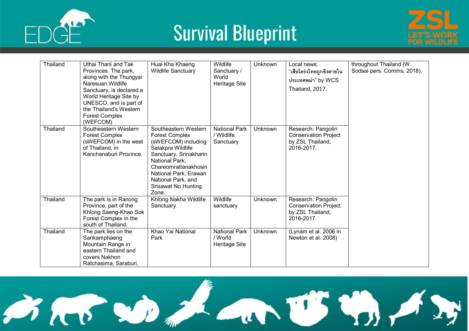





| <b>Thailand</b> | Uthai Thani and Tak<br>Provinces. The park,<br>along with the Thungyai<br>Naresuan Wildlife<br>Sanctuary, is declared a<br>World Heritage Site by<br>UNESCO, and is part of<br>the Thailand's Western<br><b>Forest Complex</b><br>(WEFCOM) | Huai Kha Khaeng<br><b>Wildlife Sanctuary</b>                                                                                                                                                                                                        | Wildlife<br>Sanctuary /<br>World<br>Heritage Site | Unknown        | Local news:<br>"เสือโคร่งไทยถูกยิงตายใน<br>ประเทศพม่า" by WCS<br>Thailand, 2017.    | throughout Thailand (W.<br>Sodsai pers. Comms, 2018). |
|-----------------|--------------------------------------------------------------------------------------------------------------------------------------------------------------------------------------------------------------------------------------------|-----------------------------------------------------------------------------------------------------------------------------------------------------------------------------------------------------------------------------------------------------|---------------------------------------------------|----------------|-------------------------------------------------------------------------------------|-------------------------------------------------------|
| <b>Thailand</b> | Southeastern Western<br><b>Forest Complex</b><br>(sWEFCOM) in the west<br>of Thailand, in<br>Kanchanaburi Province.                                                                                                                        | Southeastern Western<br><b>Forest Complex</b><br>(sWEFCOM) including<br>Salakpra Wildlife<br>Sanctuary, Srinakharin<br>National Park,<br>Chareomrattanakhosin<br>National Park, Erawan<br>National Park, and<br><b>Srisawat No Hunting</b><br>Zone. | <b>National Park</b><br>/ Wildlife<br>Sanctuary   | <b>Unknown</b> | Research: Pangolin<br><b>Conservation Project</b><br>by ZSL Thailand,<br>2016-2017. |                                                       |
| Thailand        | The park is in Ranong<br>Province, part of the<br>Khlong Saeng-Khao Sok<br>Forest Complex in the<br>south of Thailand.                                                                                                                     | Khlong Nakha Wildlife<br>Sanctuary                                                                                                                                                                                                                  | Wildlife<br>sanctuary                             | Unknown        | Research: Pangolin<br><b>Conservation Project</b><br>by ZSL Thailand,<br>2016-2017. |                                                       |
| Thailand        | The park lies on the<br>Sankamphaeng<br>Mountain Range in<br>eastern Thailand and<br>covers Nakhon<br>Ratchasima, Saraburi,                                                                                                                | Khao Yai National<br>Park                                                                                                                                                                                                                           | <b>National Park</b><br>/ World<br>Heritage Site  | Unknown        | (Lynam et al. 2006 in<br>Newton et al. 2008)                                        |                                                       |

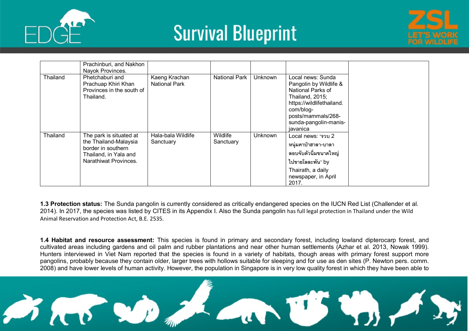





|          | Prachinburi, and Nakhon<br>Nayok Provinces.                                                                              |                                       |                              |                |                                                                                                                                                                                          |
|----------|--------------------------------------------------------------------------------------------------------------------------|---------------------------------------|------------------------------|----------------|------------------------------------------------------------------------------------------------------------------------------------------------------------------------------------------|
| Thailand | Phetchaburi and<br>Prachuap Khiri Khan<br>Provinces in the south of<br>Thailand.                                         | Kaeng Krachan<br><b>National Park</b> | <b>National Park</b>         | <b>Unknown</b> | Local news: Sunda<br>Pangolin by Wildlife &<br>National Parks of<br>Thailand, 2015;<br>https://wildlifethailand.<br>com/blog-<br>posts/mammals/268-<br>sunda-pangolin-manis-<br>javanica |
| Thailand | The park is situated at<br>the Thailand-Malaysia<br>border in southern<br>Thailand, in Yala and<br>Narathiwat Provinces. | Hala-bala Wildlife<br>Sanctuary       | <b>Wildlife</b><br>Sanctuary | <b>Unknown</b> | Local news: "รวบ 2<br>หนุ่มคาป่าฮาลา-บาลา<br>ลอบจับตัวนิ่มขนาดใหญ่<br>ไปขายโลละพัน" by<br>Thairath, a daily<br>newspaper, in April<br>2017.                                              |

**1.3 Protection status:** The Sunda pangolin is currently considered as critically endangered species on the IUCN Red List (Challender et al. 2014). In 2017, the species was listed by CITES in its Appendix I. Also the Sunda pangolin has full legal protection in Thailand under the Wild Animal Reservation and Protection Act, B.E. 2535.

**1.4 Habitat and resource assessment:** This species is found in primary and secondary forest, including lowland dipterocarp forest, and cultivated areas including gardens and oil palm and rubber plantations and near other human settlements (Azhar et al. 2013, Nowak 1999). Hunters interviewed in Viet Nam reported that the species is found in a variety of habitats, though areas with primary forest support more pangolins, probably because they contain older, larger trees with hollows suitable for sleeping and for use as den sites (P. Newton pers. comm. 2008) and have lower levels of human activity. However, the population in Singapore is in very low quality forest in which they have been able to

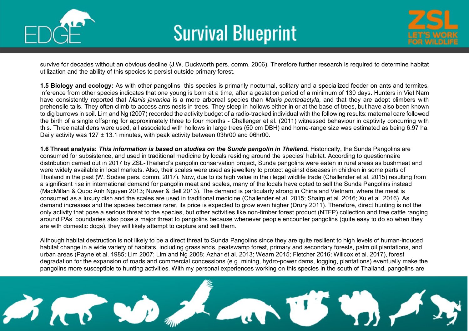



survive for decades without an obvious decline (J.W. Duckworth pers. comm. 2006). Therefore further research is required to determine habitat utilization and the ability of this species to persist outside primary forest.

**1.5 Biology and ecology:** As with other pangolins, this species is primarily nocturnal, solitary and a specialized feeder on ants and termites. Inference from other species indicates that one young is born at a time, after a gestation period of a minimum of 130 days. Hunters in Viet Nam have consistently reported that *Manis javanica* is a more arboreal species than *Manis pentadactyla*, and that they are adept climbers with prehensile tails. They often climb to access ants nests in trees. They sleep in hollows either in or at the base of trees, but have also been known to dig burrows in soil. Lim and Ng (2007) recorded the activity budget of a radio-tracked individual with the following results: maternal care followed the birth of a single offspring for approximately three to four months - Challenger et al. (2011) witnessed behaviour in captivity concurring with this. Three natal dens were used, all associated with hollows in large trees (50 cm DBH) and home-range size was estimated as being 6.97 ha. Daily activity was 127 ± 13.1 minutes, with peak activity between 03hr00 and 06hr00.

**1.6 Threat analysis:** *This information is based on studies on the Sunda pangolin in Thailand.* Historically, the Sunda Pangolins are consumed for subsistence, and used in traditional medicine by locals residing around the species' habitat. According to questionnaire distribution carried out in 2017 by ZSL-Thailand's pangolin conservation project, Sunda pangolins were eaten in rural areas as bushmeat and were widely available in local markets. Also, their scales were used as jewellery to protect against diseases in children in some parts of Thailand in the past (W. Sodsai pers. comm. 2017). Now, due to its high value in the illegal wildlife trade (Challender et al. 2015) resulting from a significant rise in international demand for pangolin meat and scales, many of the locals have opted to sell the Sunda Pangolins instead (MacMillan & Quoc Anh Nguyen 2013; Nuwer & Bell 2013). The demand is particularly strong in China and Vietnam, where the meat is consumed as a luxury dish and the scales are used in traditional medicine (Challender et al. 2015; Shairp et al. 2016; Xu et al. 2016). As demand increases and the species becomes rarer, its price is expected to grow even higher (Drury 2011). Therefore, direct hunting is not the only activity that pose a serious threat to the species, but other activities like non-timber forest product (NTFP) collection and free cattle ranging around PAs' boundaries also pose a major threat to pangolins because whenever people encounter pangolins (quite easy to do so when they are with domestic dogs), they will likely attempt to capture and sell them.

Although habitat destruction is not likely to be a direct threat to Sunda Pangolins since they are quite resilient to high levels of human-induced habitat change in a wide variety of habitats, including grasslands, peatswamp forest, primary and secondary forests, palm oil plantations, and urban areas (Payne et al. 1985; Lim 2007; Lim and Ng 2008; Azhar et al. 2013; Wearn 2015; Fletcher 2016; Willcox et al. 2017), forest degradation for the expansion of roads and commercial concessions (e.g. mining, hydro-power dams, logging, plantations) eventually make the pangolins more susceptible to hunting activities. With my personal experiences working on this species in the south of Thailand, pangolins are

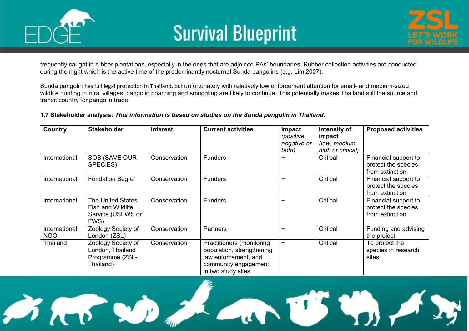



frequently caught in rubber plantations, especially in the ones that are adjoined PAs' boundaries. Rubber collection activities are conducted during the night which is the active time of the predominantly nocturnal Sunda pangolins (e.g. Lim 2007).

Sunda pangolin has full legal protection in Thailand, but unfortunately with relatively low enforcement attention for small- and medium-sized wildlife hunting in rural villages, pangolin poaching and smuggling are likely to continue. This potentially makes Thailand still the source and transit country for pangolin trade.

#### **1.7 Stakeholder analysis:** *This information is based on studies on the Sunda pangolin in Thailand.*

| Country                     | <b>Stakeholder</b>                                                                | <b>Interest</b> | <b>Current activities</b>                                                                                                    | <b>Impact</b><br>(positive,<br>negative or<br>both) | Intensity of<br>impact<br>(low, medium,<br>high or critical) | <b>Proposed activities</b>                                     |
|-----------------------------|-----------------------------------------------------------------------------------|-----------------|------------------------------------------------------------------------------------------------------------------------------|-----------------------------------------------------|--------------------------------------------------------------|----------------------------------------------------------------|
| International               | SOS (SAVE OUR<br>SPECIES)                                                         | Conservation    | <b>Funders</b>                                                                                                               | $\div$                                              | Critical                                                     | Financial support to<br>protect the species<br>from extinction |
| International               | <b>Fondation Segre'</b>                                                           | Conservation    | <b>Funders</b>                                                                                                               | $\ddot{}$                                           | Critical                                                     | Financial support to<br>protect the species<br>from extinction |
| International               | <b>The United States</b><br><b>Fish and Wildlife</b><br>Service (USFWS or<br>FWS) | Conservation    | <b>Funders</b>                                                                                                               | $\ddot{}$                                           | Critical                                                     | Financial support to<br>protect the species<br>from extinction |
| International<br><b>NGO</b> | Zoology Society of<br>London (ZSL)                                                | Conservation    | Partners                                                                                                                     | $\ddot{}$                                           | Critical                                                     | Funding and advising<br>the project                            |
| <b>Thailand</b>             | Zoology Society of<br>London, Thailand<br>Programme (ZSL-<br>Thailand)            | Conservation    | Practitioners (monitoring<br>population, strengthening<br>law enforcement, and<br>community engagement<br>in two study sites | $+$                                                 | Critical                                                     | To project the<br>species in research<br>sites                 |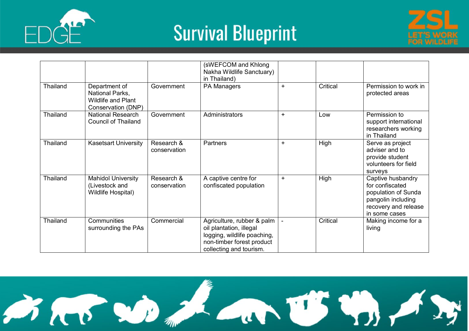





|                 |                                                                                     |                            | (sWEFCOM and Khlong<br>Nakha Wildlife Sanctuary)<br>in Thailand)                                                                             |           |          |                                                                                                                            |
|-----------------|-------------------------------------------------------------------------------------|----------------------------|----------------------------------------------------------------------------------------------------------------------------------------------|-----------|----------|----------------------------------------------------------------------------------------------------------------------------|
| <b>Thailand</b> | Department of<br>National Parks,<br><b>Wildlife and Plant</b><br>Conservation (DNP) | Government                 | PA Managers                                                                                                                                  | $\ddot{}$ | Critical | Permission to work in<br>protected areas                                                                                   |
| <b>Thailand</b> | <b>National Research</b><br><b>Council of Thailand</b>                              | Government                 | Administrators                                                                                                                               | $+$       | Low      | Permission to<br>support international<br>researchers working<br>in Thailand                                               |
| Thailand        | <b>Kasetsart University</b>                                                         | Research &<br>conservation | <b>Partners</b>                                                                                                                              | $+$       | High     | Serve as project<br>adviser and to<br>provide student<br>volunteers for field<br>surveys                                   |
| <b>Thailand</b> | <b>Mahidol University</b><br>(Livestock and<br>Wildlife Hospital)                   | Research &<br>conservation | A captive centre for<br>confiscated population                                                                                               | $\ddot{}$ | High     | Captive husbandry<br>for confiscated<br>population of Sunda<br>pangolin including<br>recovery and release<br>in some cases |
| Thailand        | Communities<br>surrounding the PAs                                                  | Commercial                 | Agriculture, rubber & palm<br>oil plantation, illegal<br>logging, wildlife poaching,<br>non-timber forest product<br>collecting and tourism. |           | Critical | Making income for a<br>living                                                                                              |

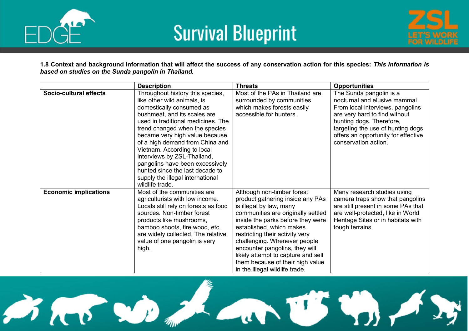



**1.8 Context and background information that will affect the success of any conservation action for this species:** *This information is based on studies on the Sunda pangolin in Thailand.*

|                              | <b>Description</b>                                                                                                                                                                                                                                                                                                                                                                                                                                                  | <b>Threats</b>                                                                                                                                                                                                                                                                                                                                                                                                    | <b>Opportunities</b>                                                                                                                                                                                                                                          |
|------------------------------|---------------------------------------------------------------------------------------------------------------------------------------------------------------------------------------------------------------------------------------------------------------------------------------------------------------------------------------------------------------------------------------------------------------------------------------------------------------------|-------------------------------------------------------------------------------------------------------------------------------------------------------------------------------------------------------------------------------------------------------------------------------------------------------------------------------------------------------------------------------------------------------------------|---------------------------------------------------------------------------------------------------------------------------------------------------------------------------------------------------------------------------------------------------------------|
| Socio-cultural effects       | Throughout history this species,<br>like other wild animals, is<br>domestically consumed as<br>bushmeat, and its scales are<br>used in traditional medicines. The<br>trend changed when the species<br>became very high value because<br>of a high demand from China and<br>Vietnam. According to local<br>interviews by ZSL-Thailand,<br>pangolins have been excessively<br>hunted since the last decade to<br>supply the illegal international<br>wildlife trade. | Most of the PAs in Thailand are<br>surrounded by communities<br>which makes forests easily<br>accessible for hunters.                                                                                                                                                                                                                                                                                             | The Sunda pangolin is a<br>nocturnal and elusive mammal.<br>From local interviews, pangolins<br>are very hard to find without<br>hunting dogs. Therefore,<br>targeting the use of hunting dogs<br>offers an opportunity for effective<br>conservation action. |
| <b>Economic implications</b> | Most of the communities are<br>agriculturists with low income.<br>Locals still rely on forests as food<br>sources. Non-timber forest<br>products like mushrooms,<br>bamboo shoots, fire wood, etc.<br>are widely collected. The relative<br>value of one pangolin is very<br>high.                                                                                                                                                                                  | Although non-timber forest<br>product gathering inside any PAs<br>is illegal by law, many<br>communities are originally settled<br>inside the parks before they were<br>established, which makes<br>restricting their activity very<br>challenging. Whenever people<br>encounter pangolins, they will<br>likely attempt to capture and sell<br>them because of their high value<br>in the illegal wildlife trade. | Many research studies using<br>camera traps show that pangolins<br>are still present in some PAs that<br>are well-protected, like in World<br>Heritage Sites or in habitats with<br>tough terrains.                                                           |

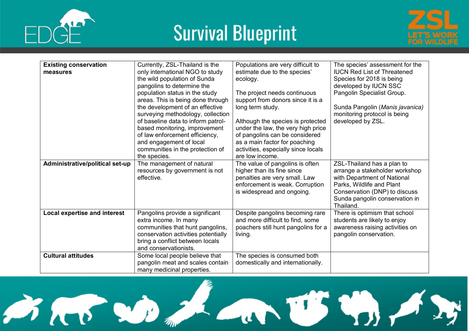





| <b>Existing conservation</b><br>measures | Currently, ZSL-Thailand is the<br>only international NGO to study<br>the wild population of Sunda<br>pangolins to determine the<br>population status in the study<br>areas. This is being done through<br>the development of an effective<br>surveying methodology, collection<br>of baseline data to inform patrol-<br>based monitoring, improvement<br>of law enforcement efficiency,<br>and engagement of local<br>communities in the protection of<br>the species. | Populations are very difficult to<br>estimate due to the species'<br>ecology.<br>The project needs continuous<br>support from donors since it is a<br>long term study.<br>Although the species is protected<br>under the law, the very high price<br>of pangolins can be considered<br>as a main factor for poaching<br>activities, especially since locals<br>are low income. | The species' assessment for the<br><b>IUCN Red List of Threatened</b><br>Species for 2018 is being<br>developed by IUCN SSC<br>Pangolin Specialist Group.<br>Sunda Pangolin (Manis javanica)<br>monitoring protocol is being<br>developed by ZSL. |
|------------------------------------------|------------------------------------------------------------------------------------------------------------------------------------------------------------------------------------------------------------------------------------------------------------------------------------------------------------------------------------------------------------------------------------------------------------------------------------------------------------------------|--------------------------------------------------------------------------------------------------------------------------------------------------------------------------------------------------------------------------------------------------------------------------------------------------------------------------------------------------------------------------------|---------------------------------------------------------------------------------------------------------------------------------------------------------------------------------------------------------------------------------------------------|
| Administrative/political set-up          | The management of natural<br>resources by government is not<br>effective.                                                                                                                                                                                                                                                                                                                                                                                              | The value of pangolins is often<br>higher than its fine since<br>penalties are very small. Law<br>enforcement is weak. Corruption<br>is widespread and ongoing.                                                                                                                                                                                                                | ZSL-Thailand has a plan to<br>arrange a stakeholder workshop<br>with Department of National<br>Parks, Wildlife and Plant<br>Conservation (DNP) to discuss<br>Sunda pangolin conservation in<br>Thailand.                                          |
| Local expertise and interest             | Pangolins provide a significant<br>extra income. In many<br>communities that hunt pangolins,<br>conservation activities potentially<br>bring a conflict between locals<br>and conservationists.                                                                                                                                                                                                                                                                        | Despite pangolins becoming rare<br>and more difficult to find, some<br>poachers still hunt pangolins for a<br>living.                                                                                                                                                                                                                                                          | There is optimism that school<br>students are likely to enjoy<br>awareness raising activities on<br>pangolin conservation.                                                                                                                        |
| <b>Cultural attitudes</b>                | Some local people believe that<br>pangolin meat and scales contain<br>many medicinal properties.                                                                                                                                                                                                                                                                                                                                                                       | The species is consumed both<br>domestically and internationally.                                                                                                                                                                                                                                                                                                              |                                                                                                                                                                                                                                                   |

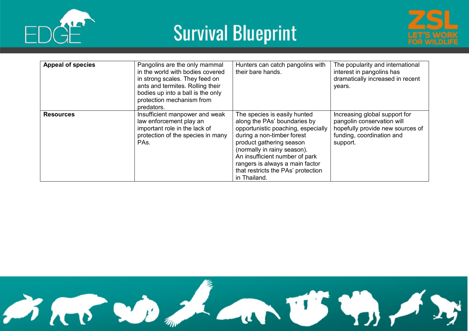





| <b>Appeal of species</b> | Pangolins are the only mammal<br>in the world with bodies covered<br>in strong scales. They feed on<br>ants and termites. Rolling their<br>bodies up into a ball is the only<br>protection mechanism from<br>predators. | Hunters can catch pangolins with<br>their bare hands.                                                                                                                                                                                                                                                                  | The popularity and international<br>interest in pangolins has<br>dramatically increased in recent<br>years.                              |
|--------------------------|-------------------------------------------------------------------------------------------------------------------------------------------------------------------------------------------------------------------------|------------------------------------------------------------------------------------------------------------------------------------------------------------------------------------------------------------------------------------------------------------------------------------------------------------------------|------------------------------------------------------------------------------------------------------------------------------------------|
| <b>Resources</b>         | Insufficient manpower and weak<br>law enforcement play an<br>important role in the lack of<br>protection of the species in many<br>PAs.                                                                                 | The species is easily hunted<br>along the PAs' boundaries by<br>opportunistic poaching, especially<br>during a non-timber forest<br>product gathering season<br>(normally in rainy season).<br>An insufficient number of park<br>rangers is always a main factor<br>that restricts the PAs' protection<br>in Thailand. | Increasing global support for<br>pangolin conservation will<br>hopefully provide new sources of<br>funding, coordination and<br>support. |

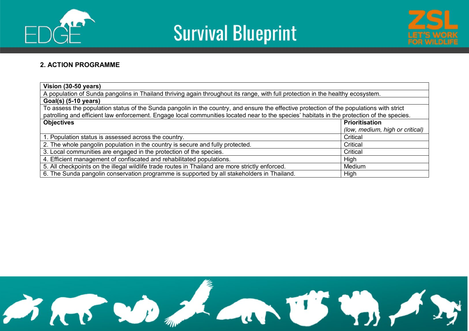





#### **2. ACTION PROGRAMME**

| Vision (30-50 years)                                                                                                                       |                                 |  |  |  |  |  |  |
|--------------------------------------------------------------------------------------------------------------------------------------------|---------------------------------|--|--|--|--|--|--|
| A population of Sunda pangolins in Thailand thriving again throughout its range, with full protection in the healthy ecosystem.            |                                 |  |  |  |  |  |  |
| $Goal(s)$ (5-10 years)                                                                                                                     |                                 |  |  |  |  |  |  |
| To assess the population status of the Sunda pangolin in the country, and ensure the effective protection of the populations with strict   |                                 |  |  |  |  |  |  |
| patrolling and efficient law enforcement. Engage local communities located near to the species' habitats in the protection of the species. |                                 |  |  |  |  |  |  |
| <b>Objectives</b><br><b>Prioritisation</b>                                                                                                 |                                 |  |  |  |  |  |  |
|                                                                                                                                            | (low, medium, high or critical) |  |  |  |  |  |  |
| 1. Population status is assessed across the country.                                                                                       | Critical                        |  |  |  |  |  |  |
| 2. The whole pangolin population in the country is secure and fully protected.                                                             | Critical                        |  |  |  |  |  |  |
| 3. Local communities are engaged in the protection of the species.                                                                         | Critical                        |  |  |  |  |  |  |
| 4. Efficient management of confiscated and rehabilitated populations.                                                                      | High                            |  |  |  |  |  |  |
| 5. All checkpoints on the illegal wildlife trade routes in Thailand are more strictly enforced.<br>Medium                                  |                                 |  |  |  |  |  |  |
| 6. The Sunda pangolin conservation programme is supported by all stakeholders in Thailand.                                                 | High                            |  |  |  |  |  |  |

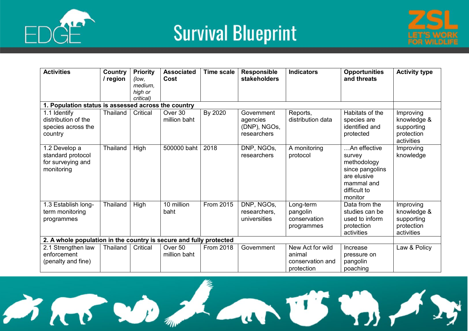





| <b>Activities</b>                                                     | Country<br>/ region | <b>Priority</b><br>(low, | <b>Associated</b><br>Cost | <b>Time scale</b> | <b>Responsible</b><br>stakeholders                    | <b>Indicators</b>                                            | <b>Opportunities</b><br>and threats                                                                              | <b>Activity type</b>                                               |
|-----------------------------------------------------------------------|---------------------|--------------------------|---------------------------|-------------------|-------------------------------------------------------|--------------------------------------------------------------|------------------------------------------------------------------------------------------------------------------|--------------------------------------------------------------------|
|                                                                       |                     | medium,                  |                           |                   |                                                       |                                                              |                                                                                                                  |                                                                    |
|                                                                       |                     | high or<br>critical)     |                           |                   |                                                       |                                                              |                                                                                                                  |                                                                    |
| 1. Population status is assessed across the country                   |                     |                          |                           |                   |                                                       |                                                              |                                                                                                                  |                                                                    |
| 1.1 Identify<br>distribution of the<br>species across the<br>country  | Thailand            | Critical                 | Over 30<br>million baht   | By 2020           | Government<br>agencies<br>(DNP), NGOs,<br>researchers | Reports,<br>distribution data                                | Habitats of the<br>species are<br>identified and<br>protected                                                    | Improving<br>knowledge &<br>supporting<br>protection<br>activities |
| 1.2 Develop a<br>standard protocol<br>for surveying and<br>monitoring | <b>Thailand</b>     | High                     | 500000 baht               | 2018              | DNP, NGOs,<br>researchers                             | A monitoring<br>protocol                                     | An effective<br>survey<br>methodology<br>since pangolins<br>are elusive<br>mammal and<br>difficult to<br>monitor | Improving<br>knowledge                                             |
| 1.3 Establish long-<br>term monitoring<br>programmes                  | <b>Thailand</b>     | High                     | 10 million<br>baht        | From 2015         | DNP, NGOs,<br>researchers,<br>universities            | Long-term<br>pangolin<br>conservation<br>programmes          | Data from the<br>studies can be<br>used to inform<br>protection<br>activities                                    | Improving<br>knowledge &<br>supporting<br>protection<br>activities |
| 2. A whole population in the country is secure and fully protected    |                     |                          |                           |                   |                                                       |                                                              |                                                                                                                  |                                                                    |
| 2.1 Strengthen law<br>enforcement<br>(penalty and fine)               | Thailand            | Critical                 | Over 50<br>million baht   | <b>From 2018</b>  | Government                                            | New Act for wild<br>animal<br>conservation and<br>protection | Increase<br>pressure on<br>pangolin<br>poaching                                                                  | Law & Policy                                                       |

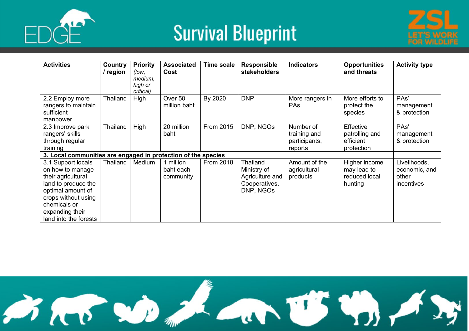





| <b>Activities</b>                                                                                                                                                                           | Country<br>/ region | <b>Priority</b><br>(low,<br>medium,<br>high or<br>critical) | <b>Associated</b><br>Cost           | <b>Time scale</b> | <b>Responsible</b><br>stakeholders                                       | <b>Indicators</b>                                     | <b>Opportunities</b><br>and threats                      | <b>Activity type</b>                                 |
|---------------------------------------------------------------------------------------------------------------------------------------------------------------------------------------------|---------------------|-------------------------------------------------------------|-------------------------------------|-------------------|--------------------------------------------------------------------------|-------------------------------------------------------|----------------------------------------------------------|------------------------------------------------------|
| 2.2 Employ more<br>rangers to maintain<br>sufficient<br>manpower                                                                                                                            | Thailand            | High                                                        | Over 50<br>million baht             | By 2020           | <b>DNP</b>                                                               | More rangers in<br><b>PAs</b>                         | More efforts to<br>protect the<br>species                | PAs'<br>management<br>& protection                   |
| 2.3 Improve park<br>rangers' skills<br>through regular<br>training                                                                                                                          | Thailand            | High                                                        | 20 million<br>baht                  | From 2015         | DNP, NGOs                                                                | Number of<br>training and<br>participants,<br>reports | Effective<br>patrolling and<br>efficient<br>protection   | PAs'<br>management<br>& protection                   |
| 3. Local communities are engaged in protection of the species                                                                                                                               |                     |                                                             |                                     |                   |                                                                          |                                                       |                                                          |                                                      |
| 3.1 Support locals<br>on how to manage<br>their agricultural<br>land to produce the<br>optimal amount of<br>crops without using<br>chemicals or<br>expanding their<br>land into the forests | Thailand            | Medium                                                      | 1 million<br>baht each<br>community | <b>From 2018</b>  | Thailand<br>Ministry of<br>Agriculture and<br>Cooperatives,<br>DNP, NGOs | Amount of the<br>agricultural<br>products             | Higher income<br>may lead to<br>reduced local<br>hunting | Livelihoods,<br>economic, and<br>other<br>incentives |

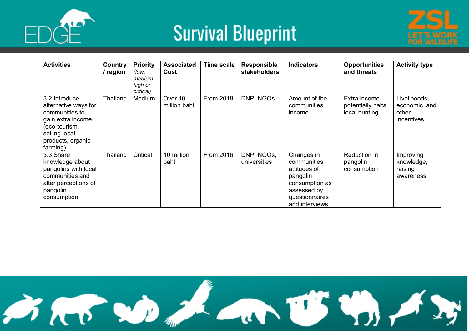





| <b>Activities</b>                                                                                                                               | Country<br>/ region | <b>Priority</b><br>(low,<br>medium,<br>high or<br>critical) | <b>Associated</b><br>Cost | <b>Time scale</b> | <b>Responsible</b><br>stakeholders | <b>Indicators</b>                                                                                                           | <b>Opportunities</b><br>and threats                | <b>Activity type</b>                                        |
|-------------------------------------------------------------------------------------------------------------------------------------------------|---------------------|-------------------------------------------------------------|---------------------------|-------------------|------------------------------------|-----------------------------------------------------------------------------------------------------------------------------|----------------------------------------------------|-------------------------------------------------------------|
| 3.2 Introduce<br>alternative ways for<br>communities to<br>gain extra income<br>(eco-tourism,<br>selling local<br>products, organic<br>farming) | Thailand            | Medium                                                      | Over 10<br>million baht   | <b>From 2018</b>  | DNP, NGOs                          | Amount of the<br>communities'<br>income                                                                                     | Extra income<br>potentially halts<br>local hunting | Livelihoods,<br>economic, and<br>other<br><i>incentives</i> |
| 3.3 Share<br>knowledge about<br>pangolins with local<br>communities and<br>alter perceptions of<br>pangolin<br>consumption                      | <b>Thailand</b>     | Critical                                                    | 10 million<br>baht        | From 2016         | DNP, NGOs,<br>universities         | Changes in<br>communities'<br>attitudes of<br>pangolin<br>consumption as<br>assessed by<br>questionnaires<br>and interviews | Reduction in<br>pangolin<br>consumption            | Improving<br>knowledge,<br>raising<br>awareness             |

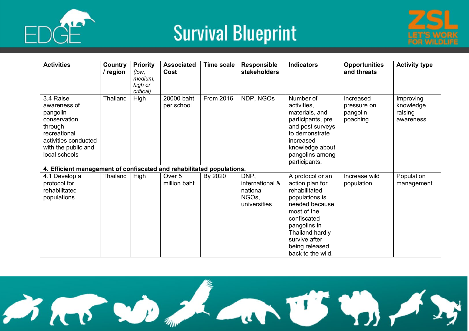





| <b>Activities</b>                                                                                                                                | Country<br>/ region | <b>Priority</b><br>(low,<br>medium,<br>high or<br>critical) | <b>Associated</b><br>Cost         | <b>Time scale</b> | <b>Responsible</b><br>stakeholders                           | <b>Indicators</b>                                                                                                                                                                                                 | <b>Opportunities</b><br>and threats              | <b>Activity type</b>                            |
|--------------------------------------------------------------------------------------------------------------------------------------------------|---------------------|-------------------------------------------------------------|-----------------------------------|-------------------|--------------------------------------------------------------|-------------------------------------------------------------------------------------------------------------------------------------------------------------------------------------------------------------------|--------------------------------------------------|-------------------------------------------------|
| 3.4 Raise<br>awareness of<br>pangolin<br>conservation<br>through<br>recreational<br>activities conducted<br>with the public and<br>local schools | Thailand            | High                                                        | 20000 baht<br>per school          | From 2016         | NDP, NGOs                                                    | Number of<br>activities,<br>materials, and<br>participants, pre<br>and post surveys<br>to demonstrate<br>increased<br>knowledge about<br>pangolins among<br>participants.                                         | Increased<br>pressure on<br>pangolin<br>poaching | Improving<br>knowledge,<br>raising<br>awareness |
| 4. Efficient management of confiscated and rehabilitated populations.                                                                            |                     |                                                             |                                   |                   |                                                              |                                                                                                                                                                                                                   |                                                  |                                                 |
| 4.1 Develop a<br>protocol for<br>rehabilitated<br>populations                                                                                    | Thailand            | High                                                        | Over <sub>5</sub><br>million baht | By 2020           | DNP,<br>international &<br>national<br>NGOs,<br>universities | A protocol or an<br>action plan for<br>rehabilitated<br>populations is<br>needed because<br>most of the<br>confiscated<br>pangolins in<br>Thailand hardly<br>survive after<br>being released<br>back to the wild. | Increase wild<br>population                      | Population<br>management                        |

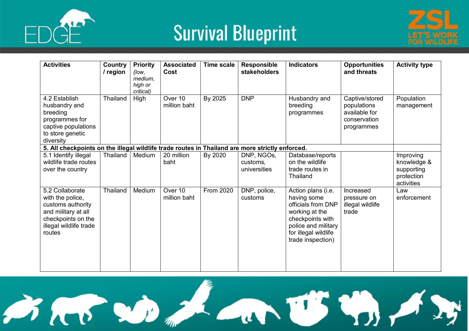





| <b>Activities</b>                                                                                                                         | Country<br>/ region | <b>Priority</b><br>(low.<br>medium.<br>high or<br>critical) | <b>Associated</b><br>Cost | <b>Time scale</b> | <b>Responsible</b><br>stakeholders     | <b>Indicators</b>                                                                                                                                                 | <b>Opportunities</b><br>and threats                                          | <b>Activity type</b>                                               |
|-------------------------------------------------------------------------------------------------------------------------------------------|---------------------|-------------------------------------------------------------|---------------------------|-------------------|----------------------------------------|-------------------------------------------------------------------------------------------------------------------------------------------------------------------|------------------------------------------------------------------------------|--------------------------------------------------------------------|
| 4.2 Establish<br>husbandry and<br>breeding<br>programmes for<br>captive populations<br>to store genetic<br>diversity                      | Thailand            | High                                                        | Over 10<br>million baht   | By 2025           | <b>DNP</b>                             | Husbandry and<br>breeding<br>programmes                                                                                                                           | Captive/stored<br>populations<br>available for<br>conservation<br>programmes | Population<br>management                                           |
| 5. All checkpoints on the illegal wildlife trade routes in Thailand are more strictly enforced.                                           |                     |                                                             |                           |                   |                                        |                                                                                                                                                                   |                                                                              |                                                                    |
| 5.1 Identify illegal<br>wildlife trade routes<br>over the country                                                                         | Thailand            | Medium                                                      | 20 million<br>baht        | By 2020           | DNP, NGOs,<br>customs,<br>universities | Database/reports<br>on the wildlife<br>trade routes in<br>Thailand                                                                                                |                                                                              | Improving<br>knowledge &<br>supporting<br>protection<br>activities |
| 5.2 Collaborate<br>with the police,<br>customs authority<br>and military at all<br>checkpoints on the<br>illegal wildlife trade<br>routes | Thailand            | Medium                                                      | Over 10<br>million baht   | From 2020         | DNP, police,<br>customs                | Action plans (i.e.<br>having some<br>officials from DNP<br>working at the<br>checkpoints with<br>police and military<br>for illegal wildlife<br>trade inspection) | Increased<br>pressure on<br>illegal wildlife<br>trade                        | Law<br>enforcement                                                 |

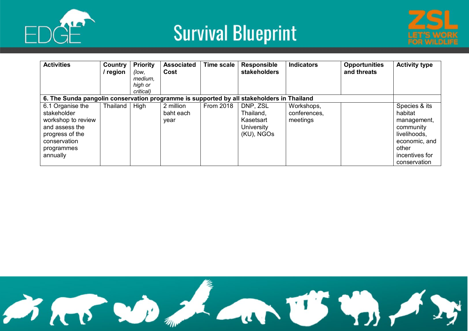





| <b>Activities</b>                                                                                                                    | Country<br>' region | <b>Priority</b><br>(low,<br>medium,<br>high or<br>critical) | <b>Associated</b><br>Cost      | <b>Time scale</b> | <b>Responsible</b><br>stakeholders                             | <b>Indicators</b>                      | <b>Opportunities</b><br>and threats | <b>Activity type</b>                                                                                                             |
|--------------------------------------------------------------------------------------------------------------------------------------|---------------------|-------------------------------------------------------------|--------------------------------|-------------------|----------------------------------------------------------------|----------------------------------------|-------------------------------------|----------------------------------------------------------------------------------------------------------------------------------|
| 6. The Sunda pangolin conservation programme is supported by all stakeholders in Thailand                                            |                     |                                                             |                                |                   |                                                                |                                        |                                     |                                                                                                                                  |
| 6.1 Organise the<br>stakeholder<br>workshop to review<br>and assess the<br>progress of the<br>conservation<br>programmes<br>annually | Thailand            | High                                                        | 2 million<br>baht each<br>year | <b>From 2018</b>  | DNP, ZSL<br>Thailand,<br>Kasetsart<br>University<br>(KU), NGOs | Workshops,<br>conferences,<br>meetings |                                     | Species & its<br>habitat<br>management,<br>community<br>livelihoods,<br>economic, and<br>other<br>incentives for<br>conservation |

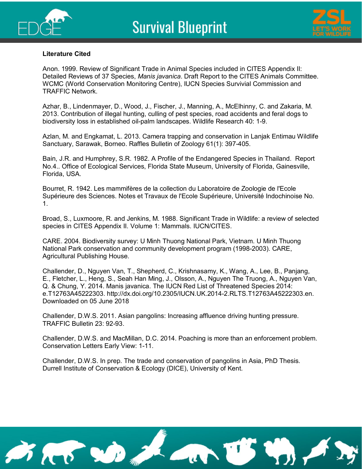



#### **Literature Cited**

Anon. 1999. Review of Significant Trade in Animal Species included in CITES Appendix II: Detailed Reviews of 37 Species, *Manis javanica*. Draft Report to the CITES Animals Committee. WCMC (World Conservation Monitoring Centre), IUCN Species Survivial Commission and TRAFFIC Network.

Azhar, B., Lindenmayer, D., Wood, J., Fischer, J., Manning, A., McElhinny, C. and Zakaria, M. 2013. Contribution of illegal hunting, culling of pest species, road accidents and feral dogs to biodiversity loss in established oil-palm landscapes. Wildlife Research 40: 1-9.

Azlan, M. and Engkamat, L. 2013. Camera trapping and conservation in Lanjak Entimau Wildlife Sanctuary, Sarawak, Borneo. Raffles Bulletin of Zoology 61(1): 397-405.

Bain, J.R. and Humphrey, S.R. 1982. A Profile of the Endangered Species in Thailand. Report No.4.. Office of Ecological Services, Florida State Museum, University of Florida, Gainesville, Florida, USA.

Bourret, R. 1942. Les mammifères de la collection du Laboratoire de Zoologie de l'Ecole Supérieure des Sciences. Notes et Travaux de l'Ecole Supérieure, Université Indochinoise No. 1.

Broad, S., Luxmoore, R. and Jenkins, M. 1988. Significant Trade in Wildlife: a review of selected species in CITES Appendix II. Volume 1: Mammals. IUCN/CITES.

CARE. 2004. Biodiversity survey: U Minh Thuong National Park, Vietnam. U Minh Thuong National Park conservation and community development program (1998-2003). CARE, Agricultural Publishing House.

Challender, D., Nguyen Van, T., Shepherd, C., Krishnasamy, K., Wang, A., Lee, B., Panjang, E., Fletcher, L., Heng, S., Seah Han Ming, J., Olsson, A., Nguyen The Truong, A., Nguyen Van, Q. & Chung, Y. 2014. Manis javanica. The IUCN Red List of Threatened Species 2014: e.T12763A45222303. http://dx.doi.org/10.2305/IUCN.UK.2014-2.RLTS.T12763A45222303.en. Downloaded on 05 June 2018

Challender, D.W.S. 2011. Asian pangolins: Increasing affluence driving hunting pressure. TRAFFIC Bulletin 23: 92-93.

Challender, D.W.S. and MacMillan, D.C. 2014. Poaching is more than an enforcement problem. Conservation Letters Early View: 1-11.

Challender, D.W.S. In prep. The trade and conservation of pangolins in Asia, PhD Thesis. Durrell Institute of Conservation & Ecology (DICE), University of Kent.

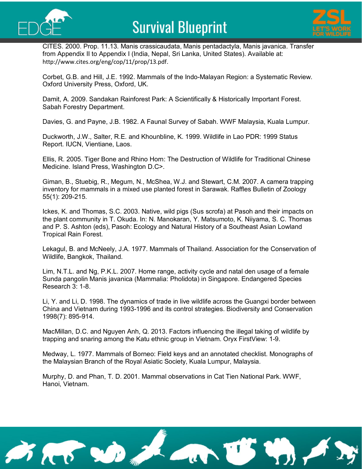



CITES. 2000. Prop. 11.13. Manis crassicaudata, Manis pentadactyla, Manis javanica. Transfer from Appendix II to Appendix I (India, Nepal, Sri Lanka, United States). Available at: <http://www.cites.org/eng/cop/11/prop/13.pdf>.

Corbet, G.B. and Hill, J.E. 1992. Mammals of the Indo-Malayan Region: a Systematic Review. Oxford University Press, Oxford, UK.

Damit, A. 2009. Sandakan Rainforest Park: A Scientifically & Historically Important Forest. Sabah Forestry Department.

Davies, G. and Payne, J.B. 1982. A Faunal Survey of Sabah. WWF Malaysia, Kuala Lumpur.

Duckworth, J.W., Salter, R.E. and Khounbline, K. 1999. Wildlife in Lao PDR: 1999 Status Report. IUCN, Vientiane, Laos.

Ellis, R. 2005. Tiger Bone and Rhino Horn: The Destruction of Wildlife for Traditional Chinese Medicine. Island Press, Washington D.C>.

Giman, B., Stuebig, R., Megum, N., McShea, W.J. and Stewart, C.M. 2007. A camera trapping inventory for mammals in a mixed use planted forest in Sarawak. Raffles Bulletin of Zoology 55(1): 209-215.

Ickes, K. and Thomas, S.C. 2003. Native, wild pigs (Sus scrofa) at Pasoh and their impacts on the plant community in T. Okuda. In: N. Manokaran, Y. Matsumoto, K. Niiyama, S. C. Thomas and P. S. Ashton (eds), Pasoh: Ecology and Natural History of a Southeast Asian Lowland Tropical Rain Forest.

Lekagul, B. and McNeely, J.A. 1977. Mammals of Thailand. Association for the Conservation of Wildlife, Bangkok, Thailand.

Lim, N.T.L. and Ng, P.K.L. 2007. Home range, activity cycle and natal den usage of a female Sunda pangolin Manis javanica (Mammalia: Pholidota) in Singapore. Endangered Species Research 3: 1-8.

Li, Y. and Li, D. 1998. The dynamics of trade in live wildlife across the Guangxi border between China and Vietnam during 1993-1996 and its control strategies. Biodiversity and Conservation 1998(7): 895-914.

MacMillan, D.C. and Nguyen Anh, Q. 2013. Factors influencing the illegal taking of wildlife by trapping and snaring among the Katu ethnic group in Vietnam. Oryx FirstView: 1-9.

Medway, L. 1977. Mammals of Borneo: Field keys and an annotated checklist. Monographs of the Malaysian Branch of the Royal Asiatic Society, Kuala Lumpur, Malaysia.

Murphy, D. and Phan, T. D. 2001. Mammal observations in Cat Tien National Park. WWF, Hanoi, Vietnam.

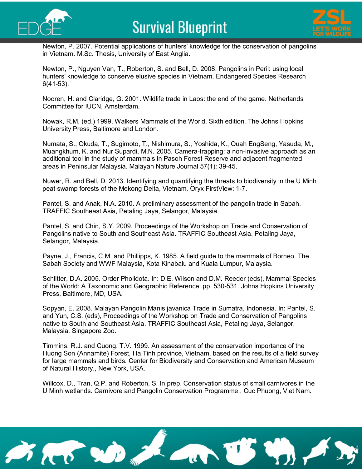



Newton, P. 2007. Potential applications of hunters' knowledge for the conservation of pangolins in Vietnam. M.Sc. Thesis, University of East Anglia.

Newton, P., Nguyen Van, T., Roberton, S. and Bell, D. 2008. Pangolins in Peril: using local hunters' knowledge to conserve elusive species in Vietnam. Endangered Species Research 6(41-53).

Nooren, H. and Claridge, G. 2001. Wildlife trade in Laos: the end of the game. Netherlands Committee for IUCN, Amsterdam.

Nowak, R.M. (ed.) 1999. Walkers Mammals of the World. Sixth edition. The Johns Hopkins University Press, Baltimore and London.

Numata, S., Okuda, T., Sugimoto, T., Nishimura, S., Yoshida, K., Quah EngSeng, Yasuda, M., Muangkhum, K. and Nur Supardi, M.N. 2005. Camera-trapping: a non-invasive approach as an additional tool in the study of mammals in Pasoh Forest Reserve and adjacent fragmented areas in Peninsular Malaysia. Malayan Nature Journal 57(1): 39-45.

Nuwer, R. and Bell, D. 2013. Identifying and quantifying the threats to biodiversity in the U Minh peat swamp forests of the Mekong Delta, Vietnam. Oryx FirstView: 1-7.

Pantel, S. and Anak, N.A. 2010. A preliminary assessment of the pangolin trade in Sabah. TRAFFIC Southeast Asia, Petaling Jaya, Selangor, Malaysia.

Pantel, S. and Chin, S.Y. 2009. Proceedings of the Workshop on Trade and Conservation of Pangolins native to South and Southeast Asia. TRAFFIC Southeast Asia. Petaling Jaya, Selangor, Malaysia.

Payne, J., Francis, C.M. and Phillipps, K. 1985. A field guide to the mammals of Borneo. The Sabah Society and WWF Malaysia, Kota Kinabalu and Kuala Lumpur, Malaysia.

Schlitter, D.A. 2005. Order Pholidota. In: D.E. Wilson and D.M. Reeder (eds), Mammal Species of the World: A Taxonomic and Geographic Reference, pp. 530-531. Johns Hopkins University Press, Baltimore, MD, USA.

Sopyan, E. 2008. Malayan Pangolin Manis javanica Trade in Sumatra, Indonesia. In: Pantel, S. and Yun, C.S. (eds), Proceedings of the Workshop on Trade and Conservation of Pangolins native to South and Southeast Asia. TRAFFIC Southeast Asia, Petaling Jaya, Selangor, Malaysia. Singapore Zoo.

Timmins, R.J. and Cuong, T.V. 1999. An assessment of the conservation importance of the Huong Son (Annamite) Forest, Ha Tinh province, Vietnam, based on the results of a field survey for large mammals and birds. Center for Biodiversity and Conservation and American Museum of Natural History., New York, USA.

Willcox, D., Tran, Q.P. and Roberton, S. In prep. Conservation status of small carnivores in the U Minh wetlands. Carnivore and Pangolin Conservation Programme., Cuc Phuong, Viet Nam.